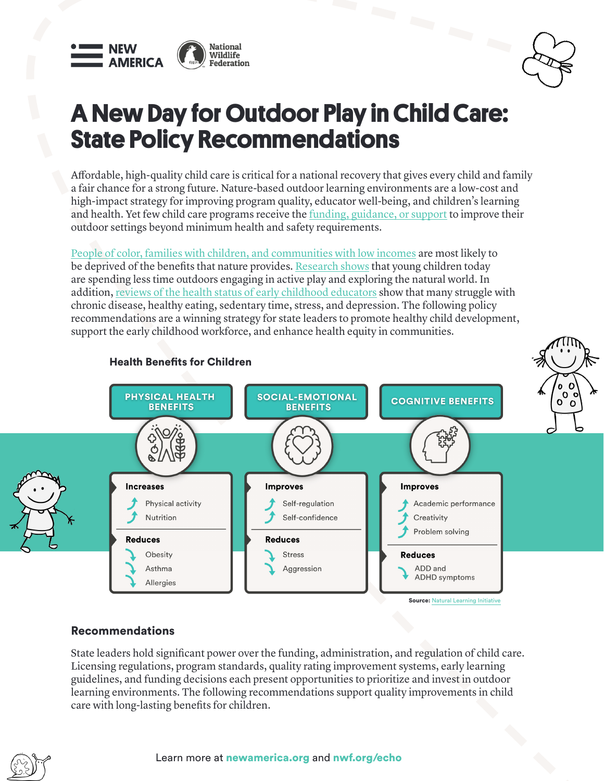



# **A New Day for Outdoor Play in Child Care: State Policy Recommendations**

Affordable, high-quality child care is critical for a national recovery that gives every child and family a fair chance for a strong future. Nature-based outdoor learning environments are a low-cost and high-impact strategy for improving program quality, educator well-being, and children's learning and health. Yet few child care programs receive the funding, guidance, or support to improve their outdoor settings beyond minimum health and safety requirements.

People of color, families with children, and communities with low incomes are most likely to be deprived of the benefits that nature provides. Research shows that young children today are spending less time outdoors engaging in active play and exploring the natural world. In addition, reviews of the health status of early childhood educators show that many struggle with chronic disease, healthy eating, sedentary time, stress, and depression. The following policy recommendations are a winning strategy for state leaders to promote healthy child development, support the early childhood workforce, and enhance health equity in communities.



#### Health Benefits for Children

#### Recommendations

State leaders hold significant power over the funding, administration, and regulation of child care. Licensing regulations, program standards, quality rating improvement systems, early learning guidelines, and funding decisions each present opportunities to prioritize and invest in outdoor learning environments. The following recommendations support quality improvements in child care with long-lasting benefits for children.

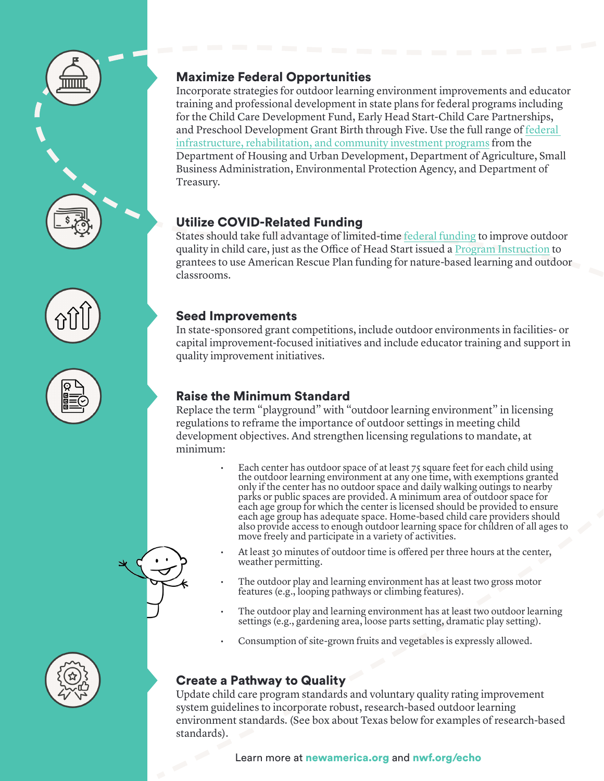





#### Maximize Federal Opportunities

Incorporate strategies for outdoor learning environment improvements and educator training and professional development in state plans for federal programs including for the Child Care Development Fund, Early Head Start-Child Care Partnerships, and Preschool Development Grant Birth through Five. Use the full range of federal infrastructure, rehabilitation, and community investment programs from the Department of Housing and Urban Development, Department of Agriculture, Small Business Administration, Environmental Protection Agency, and Department of Treasury.

#### Utilize COVID-Related Funding

States should take full advantage of limited-time federal funding to improve outdoor quality in child care, just as the Office of Head Start issued a Program Instruction to grantees to use American Rescue Plan funding for nature-based learning and outdoor classrooms.

#### Seed Improvements

In state-sponsored grant competitions, include outdoor environments in facilities- or capital improvement-focused initiatives and include educator training and support in quality improvement initiatives.

### Raise the Minimum Standard

Replace the term "playground" with "outdoor learning environment" in licensing regulations to reframe the importance of outdoor settings in meeting child development objectives. And strengthen licensing regulations to mandate, at minimum:

- Each center has outdoor space of at least  $75$  square feet for each child using the outdoor learning environment at any one time, with exemptions granted only if the center has no outdoor space and daily walking outings to nearby parks or public spaces are provided. A minimum area of outdoor space for each age group for which the center is licensed should be provided to ensure each age group has adequate space. Home-based child care providers should also provide access to enough outdoor learning space for children of all ages to move freely and participate in a variety of activities.
- At least 30 minutes of outdoor time is offered per three hours at the center, weather permitting.
- The outdoor play and learning environment has at least two gross motor features (e.g., looping pathways or climbing features).
- The outdoor play and learning environment has at least two outdoor learning settings (e.g., gardening area, loose parts setting, dramatic play setting).
- Consumption of site-grown fruits and vegetables is expressly allowed.

#### Create a Pathway to Quality

Update child care program standards and voluntary quality rating improvement system guidelines to incorporate robust, research-based outdoor learning environment standards. (See box about Texas below for examples of research-based standards).

Learn more at newamerica.org and nwf.org/echo

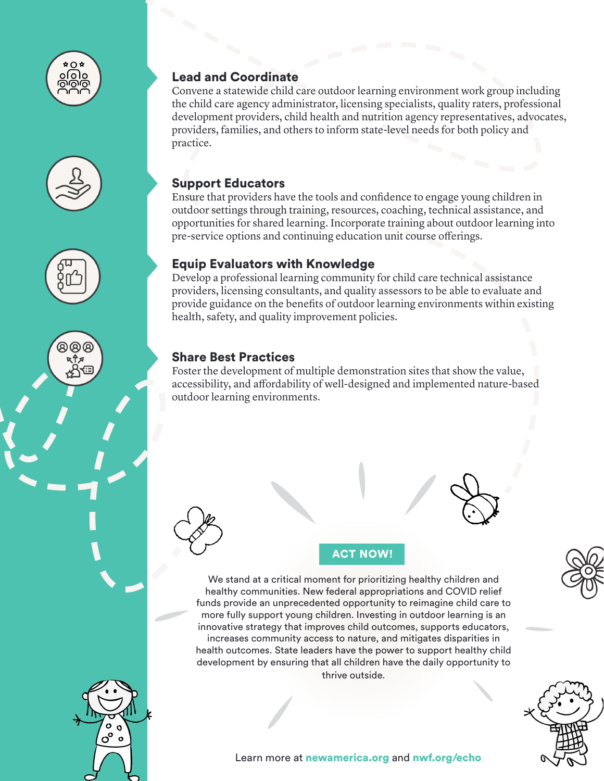

#### Lead and Coordinate

Convene a statewide child care outdoor learning environment work group including the child care agency administrator, licensing specialists, quality raters, professional development providers, child health and nutrition agency representatives, advocates, providers, families, and others to inform state-level needs for both policy and practice.

#### Support Educators

Ensure that providers have the tools and confidence to engage young children in outdoor settings through training, resources, coaching, technical assistance, and opportunities for shared learning. Incorporate training about outdoor learning into pre-service options and continuing education unit course offerings.

#### Equip Evaluators with Knowledge

Develop a professional learning community for child care technical assistance providers, licensing consultants, and quality assessors to be able to evaluate and provide guidance on the benefits of outdoor learning environments within existing health, safety, and quality improvement policies.

#### Share Best Practices

Foster the development of multiple demonstration sites that show the value, accessibility, and affordability of well-designed and implemented nature-based outdoor learning environments.





ACT NOW!

We stand at a critical moment for prioritizing healthy children and healthy communities. New federal appropriations and COVID relief funds provide an unprecedented opportunity to reimagine child care to more fully support young children. Investing in outdoor learning is an innovative strategy that improves child outcomes, supports educators, increases community access to nature, and mitigates disparities in health outcomes. State leaders have the power to support healthy child development by ensuring that all children have the daily opportunity to thrive outside.





#### Learn more at newamerica.org and nwf.org/echo